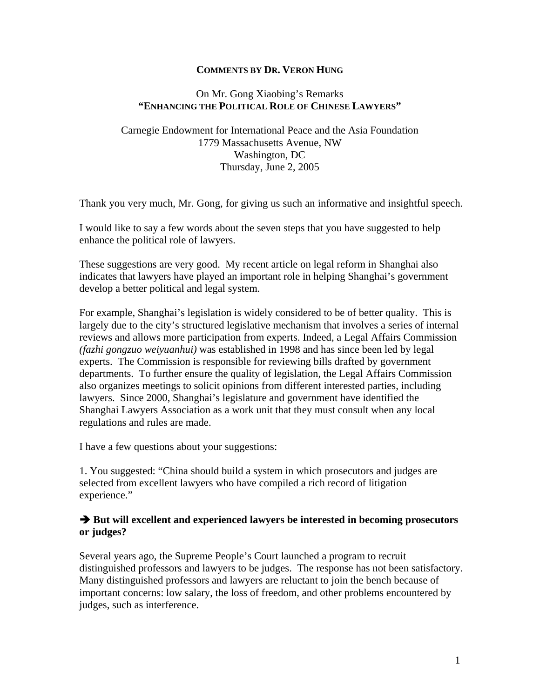## **COMMENTS BY DR. VERON HUNG**

#### On Mr. Gong Xiaobing's Remarks **"ENHANCING THE POLITICAL ROLE OF CHINESE LAWYERS"**

# Carnegie Endowment for International Peace and the Asia Foundation 1779 Massachusetts Avenue, NW Washington, DC Thursday, June 2, 2005

Thank you very much, Mr. Gong, for giving us such an informative and insightful speech.

I would like to say a few words about the seven steps that you have suggested to help enhance the political role of lawyers.

These suggestions are very good. My recent article on legal reform in Shanghai also indicates that lawyers have played an important role in helping Shanghai's government develop a better political and legal system.

For example, Shanghai's legislation is widely considered to be of better quality. This is largely due to the city's structured legislative mechanism that involves a series of internal reviews and allows more participation from experts. Indeed, a Legal Affairs Commission *(fazhi gongzuo weiyuanhui)* was established in 1998 and has since been led by legal experts. The Commission is responsible for reviewing bills drafted by government departments. To further ensure the quality of legislation, the Legal Affairs Commission also organizes meetings to solicit opinions from different interested parties, including lawyers. Since 2000, Shanghai's legislature and government have identified the Shanghai Lawyers Association as a work unit that they must consult when any local regulations and rules are made.

I have a few questions about your suggestions:

1. You suggested: "China should build a system in which prosecutors and judges are selected from excellent lawyers who have compiled a rich record of litigation experience."

## $\rightarrow$  **But will excellent and experienced lawyers be interested in becoming prosecutors or judges?**

Several years ago, the Supreme People's Court launched a program to recruit distinguished professors and lawyers to be judges. The response has not been satisfactory. Many distinguished professors and lawyers are reluctant to join the bench because of important concerns: low salary, the loss of freedom, and other problems encountered by judges, such as interference.